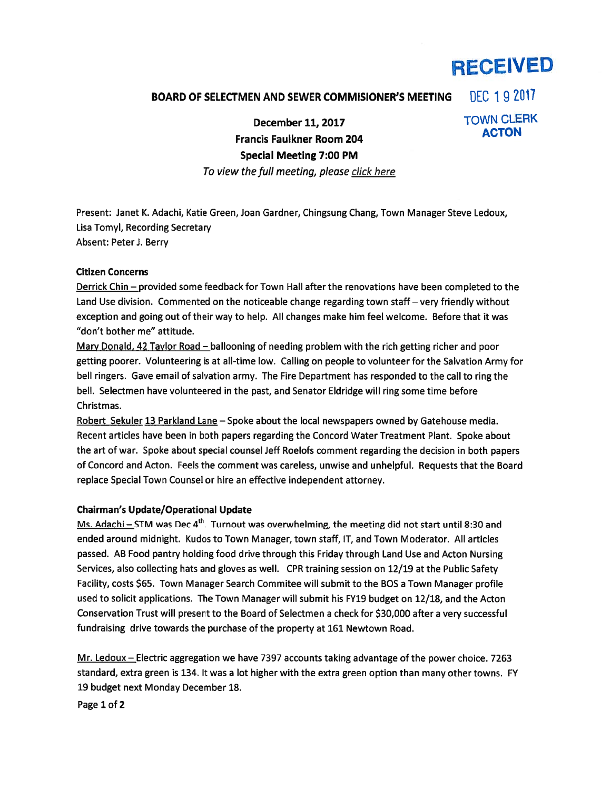# RECEIVED

### BOARD OF SELECTMEN AND SEWER COMMISIONER'S MEETING  $\left| \right|$  DEC 1 9 2017

December 11, 2017 TOWN CLERK<br>ACTON **Francis Faulkner Room 204** Special Meeting 7:00 PM

## To view the full meeting, please click here

Present: Janet K. Adachi, Katie Green, Joan Gardner, Chingsung Chang, Town Manager Steve Ledoux, Lisa Tomyl, Recording Secretary Absent: Peter J. Berry

#### Citizen Concerns

Derrick Chin — provided some feedback for Town Hall after the renovations have been completed to the Land Use division. Commented on the noticeable change regarding town staff — very friendly without exception and going out of their way to help. All changes make him feel welcome. Before that it was "don't bother me" attitude.

Mary Donald, 42 Taylor Road — ballooning of needing problem with the rich getting richer and poor getting poorer. Volunteering is at all-time low. Calling on people to volunteer for the Salvation Army for bell ringers. Gave email of salvation army. The Fire Department has responded to the call to ring the bell. Selectmen have volunteered in the past, and Senator Eldridge will ring some time before Christmas.

Robert Sekuler 13 Parkland Lane — Spoke about the local newspapers owned by Gatehouse media. Recent articles have been in both papers regarding the Concord Water Treatment Plant. Spoke about the art of war. Spoke about special counsel Jeff Roelofs comment regarding the decision in both papers of Concord and Acton. Feels the comment was careless, unwise and unhelpful. Requests that the Board replace Special Town Counsel or hire an effective independent attorney.

#### Chairman's Update/Operational Update

Ms. Adachi - STM was Dec 4<sup>th</sup>. Turnout was overwhelming, the meeting did not start until 8:30 and ended around midnight. Kudos to Town Manager, town staff, IT, and Town Moderator. All articles passed. AB Food pantry holding food drive through this Friday through Land Use and Acton Nursing Services, also collecting hats and gloves as well. CPR training session on 12/19 at the Public Safety Facility, costs \$65. Town Manager Search Commitee will submit to the BOS <sup>a</sup> Town Manager profile used to solicit applications. The Town Manager will submit his FY19 budget on 12/18, and the Acton Conservation Trust will presen<sup>t</sup> to the Board of Selectmen <sup>a</sup> check for \$30,000 after <sup>a</sup> very successful fundraising drive towards the purchase of the property at 161 Newtown Road.

Mr. Ledoux — Electric aggregation we have 7397 accounts taking advantage of the power choice. 7263 standard, extra green is 134. It was <sup>a</sup> lot higher with the extra green option than many other towns. FY 19 budget next Monday December 18.

Page 1 of 2